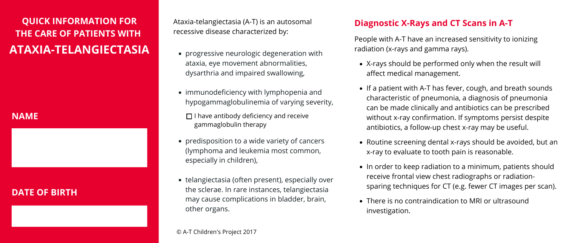- progressive neurologic degeneration with ataxia, eye movement abnormalities, dysarthria and impaired swallowing,
- immunodeficiency with lymphopenia and hypogammaglobulinemia of varying severity,
	- $\Box$  I have antibody deficiency and receive gammaglobulin therapy
- predisposition to a wide variety of cancers (lymphoma and leukemia most common, especially in children),
- telangiectasia (often present), especially over the sclerae. In rare instances, telangiectasia may cause complications in bladder, brain, other organs.

### **NAME**

# **DATE OF BIRTH**

Ataxia-telangiectasia (A-T) is an autosomal recessive disease characterized by:

# **Diagnostic X-Rays and CT Scans in A-T**

People with A-T have an increased sensitivity to ionizing radiation (x-rays and gamma rays).

# **QUICK INFORMATION FOR THE CARE OF PATIENTS WITH ATAXIA-TELANGIECTASIA**

- X-rays should be performed only when the result will affect medical management.
- If a patient with A-T has fever, cough, and breath sounds characteristic of pneumonia, a diagnosis of pneumonia can be made clinically and antibiotics can be prescribed without x-ray confirmation. If symptoms persist despite antibiotics, a follow-up chest x-ray may be useful.
- Routine screening dental x-rays should be avoided, but an x-ray to evaluate to tooth pain is reasonable.
- In order to keep radiation to a minimum, patients should receive frontal view chest radiographs or radiationsparing techniques for CT (e.g. fewer CT images per scan).
- There is no contraindication to MRI or ultrasound investigation.